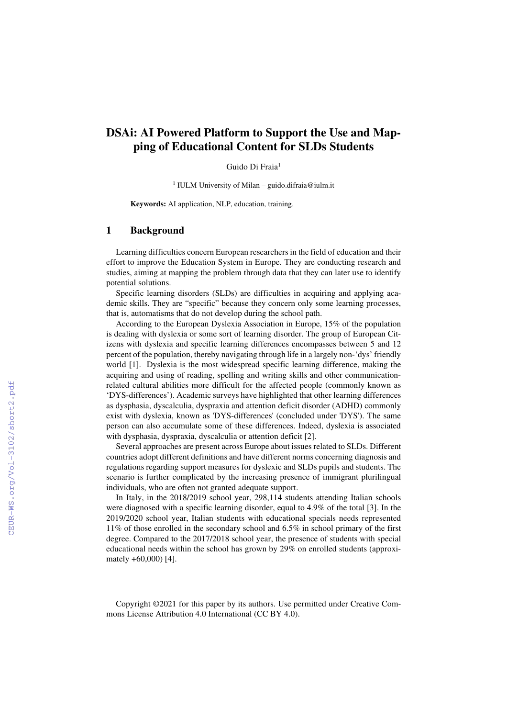# **DSAi: AI Powered Platform to Support the Use and Mapping of Educational Content for SLDs Students**

Guido Di Fraia<sup>1</sup>

1 IULM University of Milan – guido.difraia@iulm.it

**Keywords:** AI application, NLP, education, training.

#### **1 Background**

Learning difficulties concern European researchers in the field of education and their effort to improve the Education System in Europe. They are conducting research and studies, aiming at mapping the problem through data that they can later use to identify potential solutions.

Specific learning disorders (SLDs) are difficulties in acquiring and applying academic skills. They are "specific" because they concern only some learning processes, that is, automatisms that do not develop during the school path.

According to the European Dyslexia Association in Europe, 15% of the population is dealing with dyslexia or some sort of learning disorder. The group of European Citizens with dyslexia and specific learning differences encompasses between 5 and 12 percent of the population, thereby navigating through life in a largely non-'dys' friendly world [1]. Dyslexia is the most widespread specific learning difference, making the acquiring and using of reading, spelling and writing skills and other communicationrelated cultural abilities more difficult for the affected people (commonly known as 'DYS-differences'). Academic surveys have highlighted that other learning differences as dysphasia, dyscalculia, dyspraxia and attention deficit disorder (ADHD) commonly exist with dyslexia, known as 'DYS-differences' (concluded under 'DYS'). The same person can also accumulate some of these differences. Indeed, dyslexia is associated with dysphasia, dyspraxia, dyscalculia or attention deficit [2].

Several approaches are present across Europe about issues related to SLDs. Different countries adopt different definitions and have different norms concerning diagnosis and regulations regarding support measures for dyslexic and SLDs pupils and students. The scenario is further complicated by the increasing presence of immigrant plurilingual individuals, who are often not granted adequate support.

In Italy, in the 2018/2019 school year, 298,114 students attending Italian schools were diagnosed with a specific learning disorder, equal to 4.9% of the total [3]. In the 2019/2020 school year, Italian students with educational specials needs represented 11% of those enrolled in the secondary school and 6.5% in school primary of the first degree. Compared to the 2017/2018 school year, the presence of students with special educational needs within the school has grown by 29% on enrolled students (approximately +60,000) [4].

Copyright ©2021 for this paper by its authors. Use permitted under Creative Commons License Attribution 4.0 International (CC BY 4.0).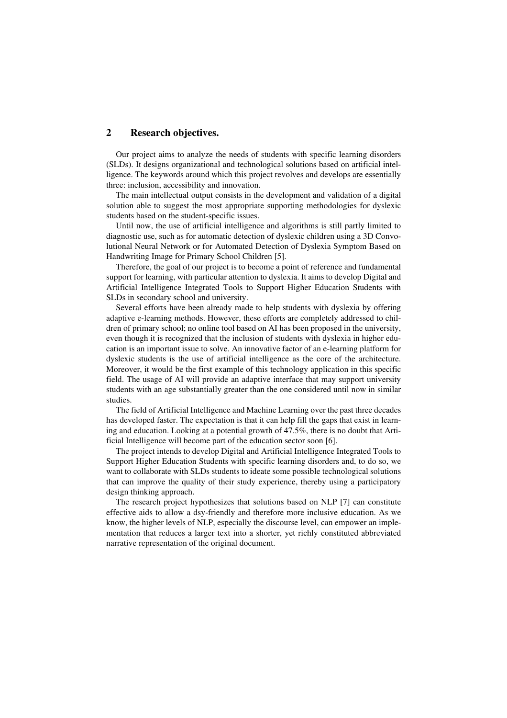### **2 Research objectives.**

Our project aims to analyze the needs of students with specific learning disorders (SLDs). It designs organizational and technological solutions based on artificial intelligence. The keywords around which this project revolves and develops are essentially three: inclusion, accessibility and innovation.

The main intellectual output consists in the development and validation of a digital solution able to suggest the most appropriate supporting methodologies for dyslexic students based on the student-specific issues.

Until now, the use of artificial intelligence and algorithms is still partly limited to diagnostic use, such as for automatic detection of dyslexic children using a 3D Convolutional Neural Network or for Automated Detection of Dyslexia Symptom Based on Handwriting Image for Primary School Children [5].

Therefore, the goal of our project is to become a point of reference and fundamental support for learning, with particular attention to dyslexia. It aims to develop Digital and Artificial Intelligence Integrated Tools to Support Higher Education Students with SLDs in secondary school and university.

Several efforts have been already made to help students with dyslexia by offering adaptive e-learning methods. However, these efforts are completely addressed to children of primary school; no online tool based on AI has been proposed in the university, even though it is recognized that the inclusion of students with dyslexia in higher education is an important issue to solve. An innovative factor of an e-learning platform for dyslexic students is the use of artificial intelligence as the core of the architecture. Moreover, it would be the first example of this technology application in this specific field. The usage of AI will provide an adaptive interface that may support university students with an age substantially greater than the one considered until now in similar studies.

The field of Artificial Intelligence and Machine Learning over the past three decades has developed faster. The expectation is that it can help fill the gaps that exist in learning and education. Looking at a potential growth of 47.5%, there is no doubt that Artificial Intelligence will become part of the education sector soon [6].

The project intends to develop Digital and Artificial Intelligence Integrated Tools to Support Higher Education Students with specific learning disorders and, to do so, we want to collaborate with SLDs students to ideate some possible technological solutions that can improve the quality of their study experience, thereby using a participatory design thinking approach.

The research project hypothesizes that solutions based on NLP [7] can constitute effective aids to allow a dsy-friendly and therefore more inclusive education. As we know, the higher levels of NLP, especially the discourse level, can empower an implementation that reduces a larger text into a shorter, yet richly constituted abbreviated narrative representation of the original document.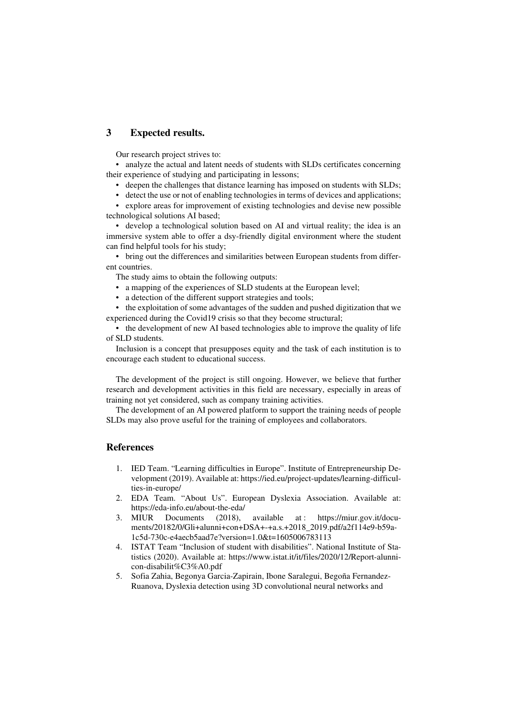## **3 Expected results.**

Our research project strives to:

• analyze the actual and latent needs of students with SLDs certificates concerning their experience of studying and participating in lessons;

- deepen the challenges that distance learning has imposed on students with SLDs;
- detect the use or not of enabling technologies in terms of devices and applications;

• explore areas for improvement of existing technologies and devise new possible technological solutions AI based;

• develop a technological solution based on AI and virtual reality; the idea is an immersive system able to offer a dsy-friendly digital environment where the student can find helpful tools for his study;

• bring out the differences and similarities between European students from different countries.

The study aims to obtain the following outputs:

- a mapping of the experiences of SLD students at the European level;
- a detection of the different support strategies and tools;

• the exploitation of some advantages of the sudden and pushed digitization that we experienced during the Covid19 crisis so that they become structural;

• the development of new AI based technologies able to improve the quality of life of SLD students.

Inclusion is a concept that presupposes equity and the task of each institution is to encourage each student to educational success.

The development of the project is still ongoing. However, we believe that further research and development activities in this field are necessary, especially in areas of training not yet considered, such as company training activities.

The development of an AI powered platform to support the training needs of people SLDs may also prove useful for the training of employees and collaborators.

#### **References**

- 1. IED Team. "Learning difficulties in Europe". Institute of Entrepreneurship Development (2019). Available at: https://ied.eu/project-updates/learning-difficulties-in-europe/
- 2. EDA Team. "About Us". European Dyslexia Association. Available at: https://eda-info.eu/about-the-eda/<br>MIUR Documents (2018).
- 3. MIUR Documents (2018), available at : https://miur.gov.it/documents/20182/0/Gli+alunni+con+DSA+-+a.s.+2018\_2019.pdf/a2f114e9-b59a-1c5d-730c-e4aecb5aad7e?version=1.0&t=1605006783113
- 4. ISTAT Team "Inclusion of student with disabilities". National Institute of Statistics (2020). Available at: https://www.istat.it/it/files/2020/12/Report-alunnicon-disabilit%C3%A0.pdf
- 5. Sofia Zahia, Begonya Garcia-Zapirain, Ibone Saralegui, Begoña Fernandez-Ruanova, Dyslexia detection using 3D convolutional neural networks and